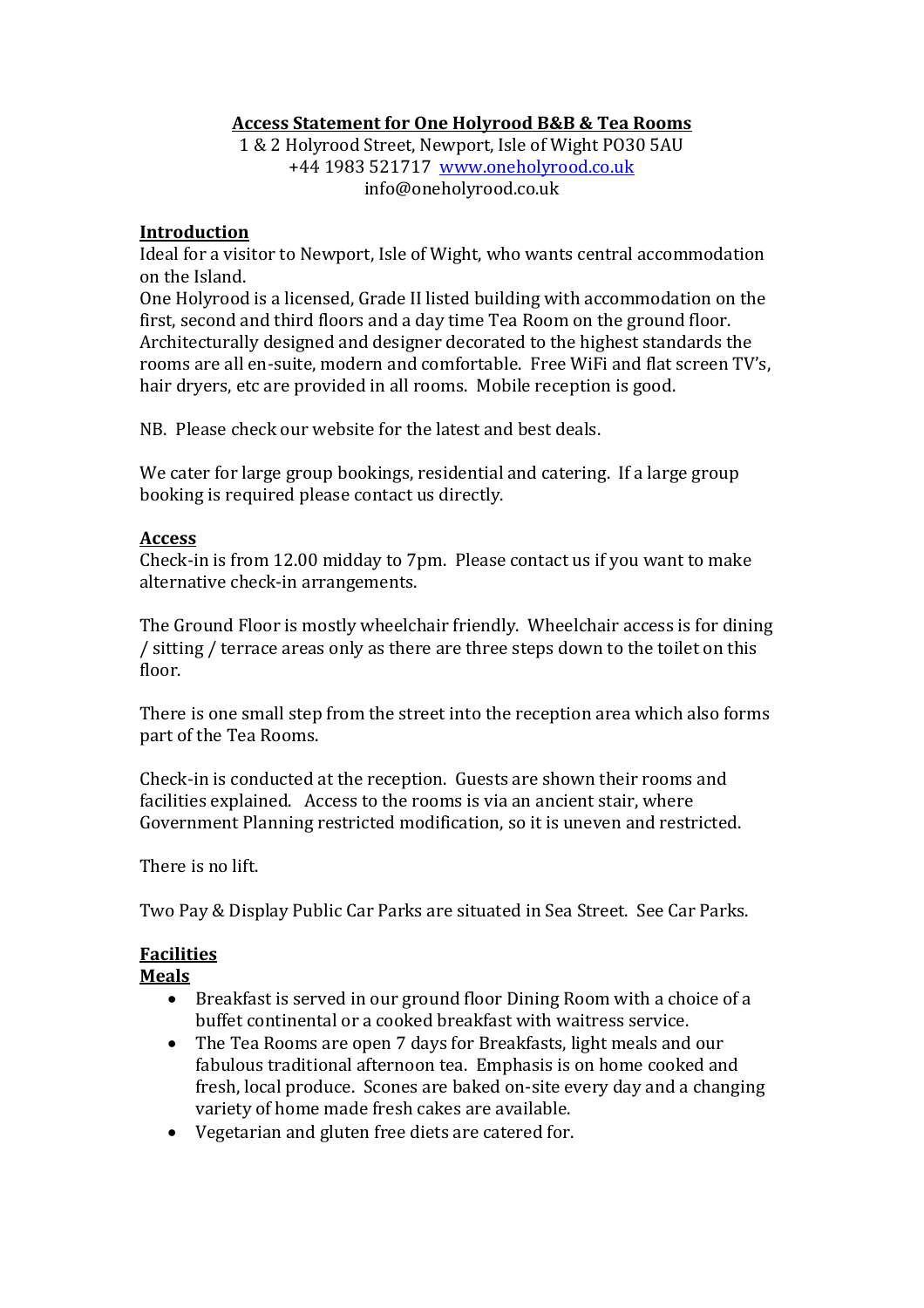# **Access Statement for One Holyrood B&B & Tea Rooms**

1 & 2 Holyrood Street, Newport, Isle of Wight PO30 5AU +44 1983 521717 [www.oneholyrood.co.uk](http://www.oneholyrood.co.uk/) info@oneholyrood.co.uk

### **Introduction**

Ideal for a visitor to Newport, Isle of Wight, who wants central accommodation on the Island.

One Holyrood is a licensed, Grade II listed building with accommodation on the first, second and third floors and a day time Tea Room on the ground floor. Architecturally designed and designer decorated to the highest standards the rooms are all en-suite, modern and comfortable. Free WiFi and flat screen TV's, hair dryers, etc are provided in all rooms. Mobile reception is good.

NB. Please check our website for the latest and best deals.

We cater for large group bookings, residential and catering. If a large group booking is required please contact us directly.

### **Access**

Check-in is from 12.00 midday to 7pm. Please contact us if you want to make alternative check-in arrangements.

The Ground Floor is mostly wheelchair friendly. Wheelchair access is for dining / sitting / terrace areas only as there are three steps down to the toilet on this floor.

There is one small step from the street into the reception area which also forms part of the Tea Rooms.

Check-in is conducted at the reception. Guests are shown their rooms and facilities explained. Access to the rooms is via an ancient stair, where Government Planning restricted modification, so it is uneven and restricted.

There is no lift.

Two Pay & Display Public Car Parks are situated in Sea Street. See Car Parks.

# **Facilities**

### **Meals**

- Breakfast is served in our ground floor Dining Room with a choice of a buffet continental or a cooked breakfast with waitress service.
- The Tea Rooms are open 7 days for Breakfasts, light meals and our fabulous traditional afternoon tea. Emphasis is on home cooked and fresh, local produce. Scones are baked on-site every day and a changing variety of home made fresh cakes are available.
- Vegetarian and gluten free diets are catered for.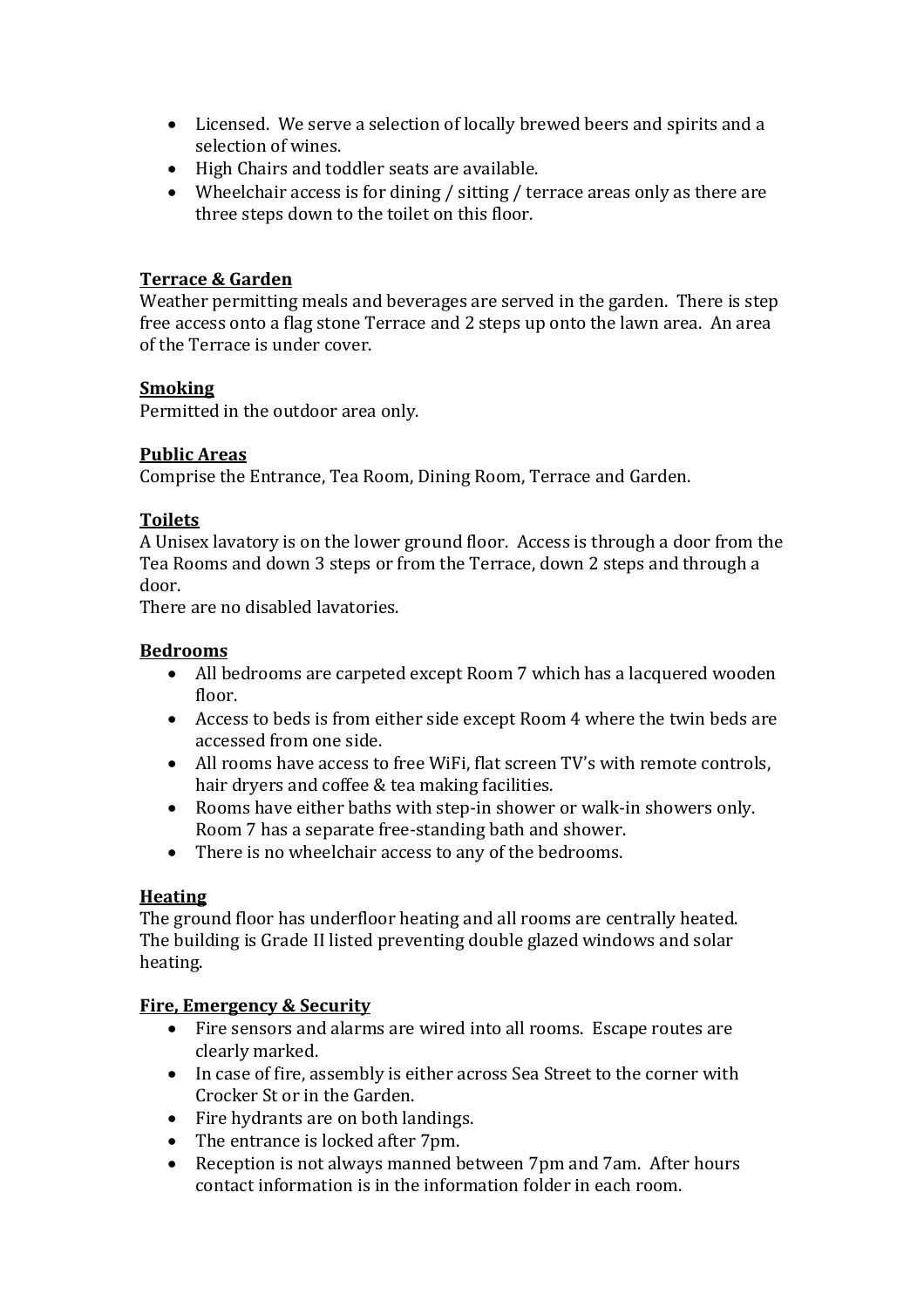- Licensed. We serve a selection of locally brewed beers and spirits and a selection of wines.
- High Chairs and toddler seats are available.
- Wheelchair access is for dining / sitting / terrace areas only as there are three steps down to the toilet on this floor.

## **Terrace & Garden**

Weather permitting meals and beverages are served in the garden. There is step free access onto a flag stone Terrace and 2 steps up onto the lawn area. An area of the Terrace is under cover.

## **Smoking**

Permitted in the outdoor area only.

## **Public Areas**

Comprise the Entrance, Tea Room, Dining Room, Terrace and Garden.

## **Toilets**

A Unisex lavatory is on the lower ground floor. Access is through a door from the Tea Rooms and down 3 steps or from the Terrace, down 2 steps and through a door.

There are no disabled lavatories.

# **Bedrooms**

- All bedrooms are carpeted except Room 7 which has a lacquered wooden floor.
- Access to beds is from either side except Room 4 where the twin beds are accessed from one side.
- All rooms have access to free WiFi, flat screen TV's with remote controls, hair dryers and coffee & tea making facilities.
- Rooms have either baths with step-in shower or walk-in showers only. Room 7 has a separate free-standing bath and shower.
- There is no wheelchair access to any of the bedrooms.

# **Heating**

The ground floor has underfloor heating and all rooms are centrally heated. The building is Grade II listed preventing double glazed windows and solar heating.

### **Fire, Emergency & Security**

- Fire sensors and alarms are wired into all rooms. Escape routes are clearly marked.
- In case of fire, assembly is either across Sea Street to the corner with Crocker St or in the Garden.
- Fire hydrants are on both landings.
- The entrance is locked after 7pm.
- Reception is not always manned between 7pm and 7am. After hours contact information is in the information folder in each room.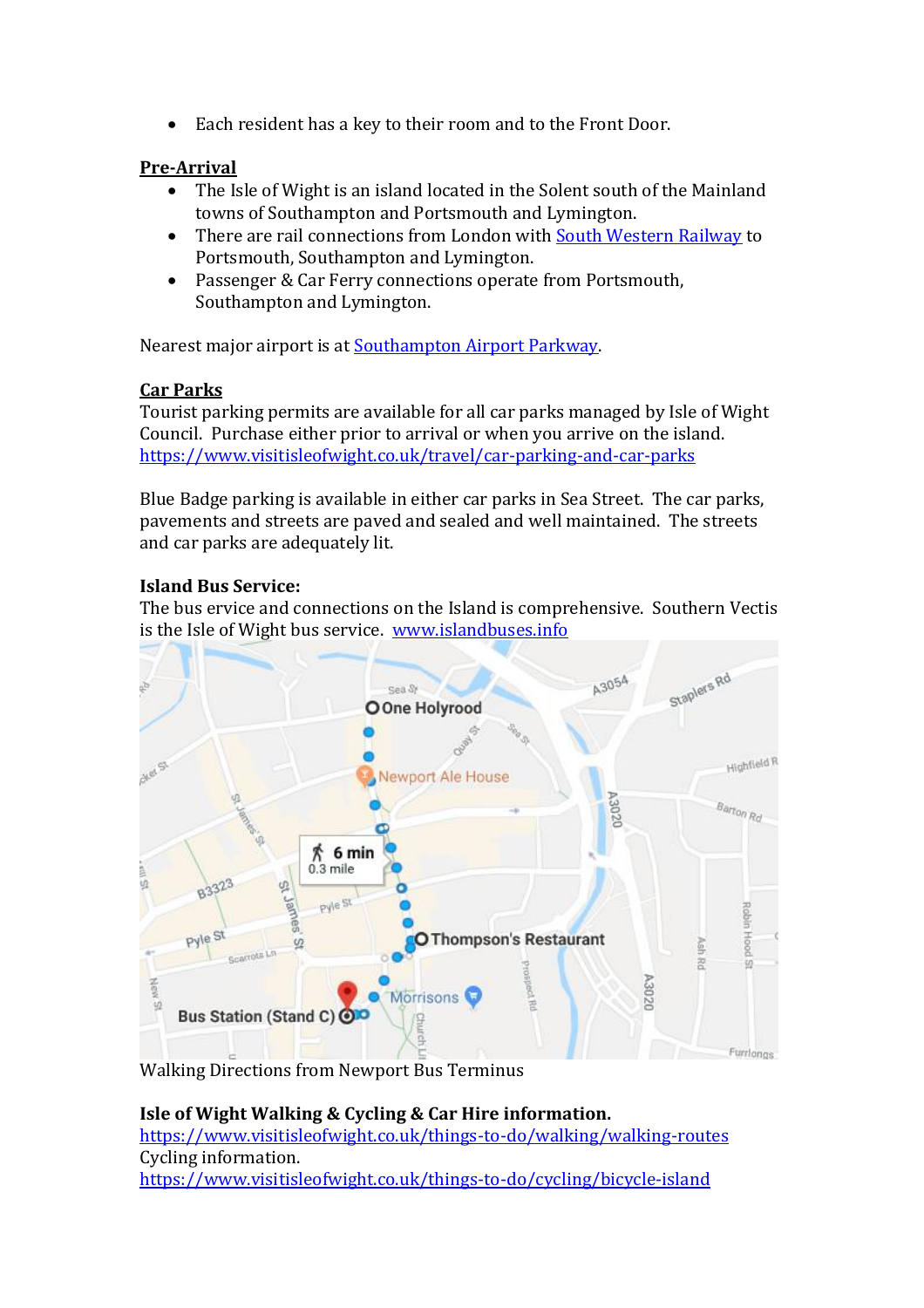Each resident has a key to their room and to the Front Door.

## **Pre-Arrival**

- The Isle of Wight is an island located in the Solent south of the Mainland towns of Southampton and Portsmouth and Lymington.
- There are rail connections from London with [South Western Railway](https://www.southwesternrailway.com/) to Portsmouth, Southampton and Lymington.
- Passenger & Car Ferry connections operate from Portsmouth, Southampton and Lymington.

Nearest major airport is at [Southampton Airport Parkway.](https://www.southamptonairport.com/)

## **Car Parks**

Tourist parking permits are available for all car parks managed by Isle of Wight Council. Purchase either prior to arrival or when you arrive on the island. <https://www.visitisleofwight.co.uk/travel/car-parking-and-car-parks>

Blue Badge parking is available in either car parks in Sea Street. The car parks, pavements and streets are paved and sealed and well maintained. The streets and car parks are adequately lit.

# **Island Bus Service:**

The bus ervice and connections on the Island is comprehensive. Southern Vectis is the Isle of Wight bus service. [www.islandbuses.info](http://www.islandbuses.info/)



Walking Directions from Newport Bus Terminus

### **Isle of Wight Walking & Cycling & Car Hire information.**  <https://www.visitisleofwight.co.uk/things-to-do/walking/walking-routes> Cycling information. <https://www.visitisleofwight.co.uk/things-to-do/cycling/bicycle-island>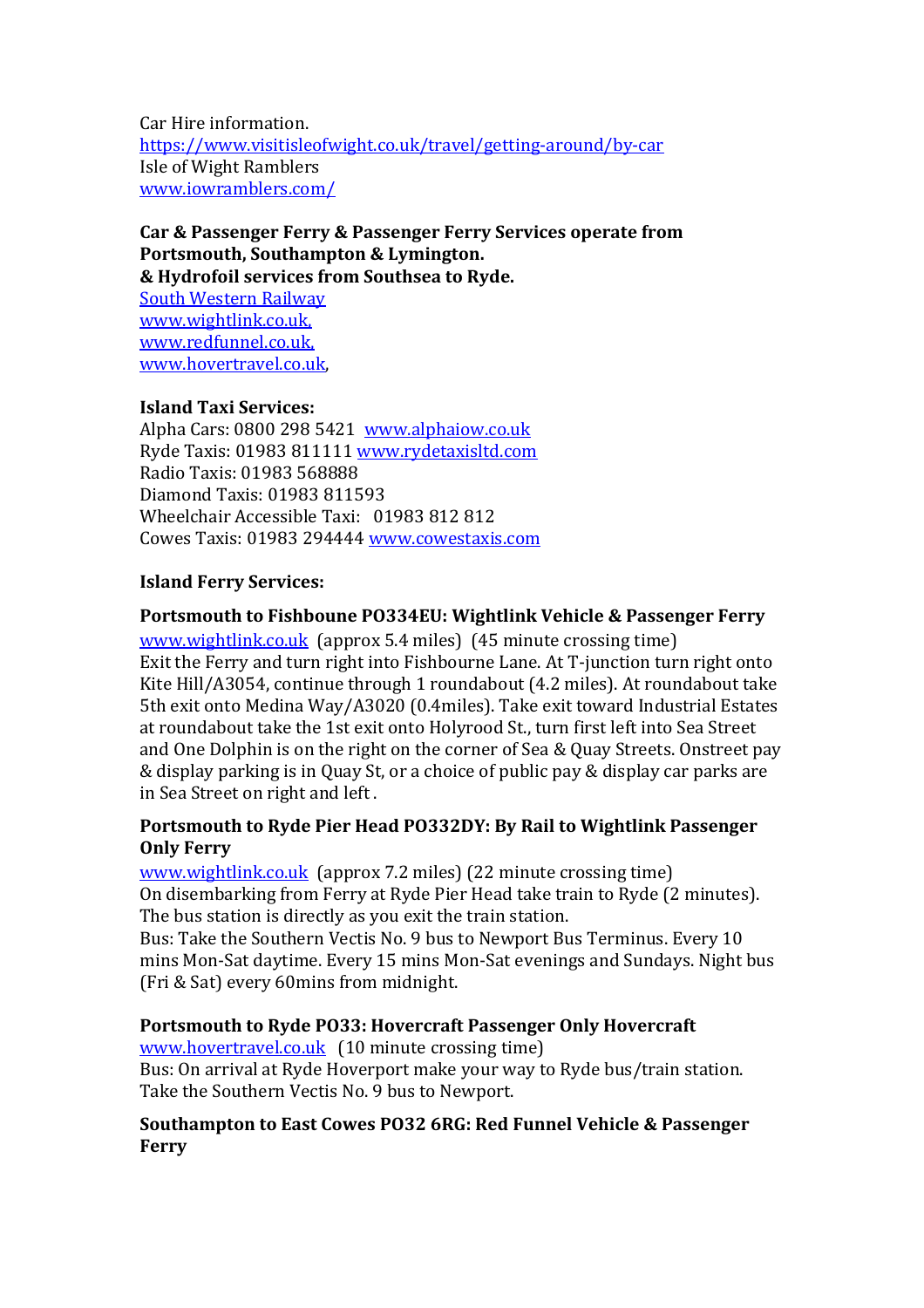Car Hire information. <https://www.visitisleofwight.co.uk/travel/getting-around/by-car> Isle of Wight Ramblers [www.iowramblers.com/](http://www.iowramblers.com/)

**Car & Passenger Ferry & Passenger Ferry Services operate from Portsmouth, Southampton & Lymington. & Hydrofoil services from Southsea to Ryde.**  [South Western Railway](https://www.southwesternrailway.com/)

[www.wightlink.co.uk,](http://www.wightlink.co.uk/) [www.redfunnel.co.uk,](http://www.redfunnel.co.uk/) [www.hovertravel.co.uk,](http://www.hovertravel.co.uk/)

### **Island Taxi Services:**

Alpha Cars: 0800 298 5421 [www.alphaiow.co.uk](http://www.alphaiow.co.uk/) Ryde Taxis: 01983 811111 [www.rydetaxisltd.com](http://www.rydetaxisltd.com/) Radio Taxis: 01983 568888 Diamond Taxis: 01983 811593 Wheelchair Accessible Taxi: 01983 812 812 Cowes Taxis: 01983 294444 [www.cowestaxis.com](http://www.cowestaxis.com/)

### **Island Ferry Services:**

### **Portsmouth to Fishboune PO334EU: Wightlink Vehicle & Passenger Ferry**

[www.wightlink.co.uk](http://www.wightlink.co.uk/) (approx 5.4 miles) (45 minute crossing time) Exit the Ferry and turn right into Fishbourne Lane. At T-junction turn right onto Kite Hill/A3054, continue through 1 roundabout (4.2 miles). At roundabout take 5th exit onto Medina Way/A3020 (0.4miles). Take exit toward Industrial Estates at roundabout take the 1st exit onto Holyrood St., turn first left into Sea Street and One Dolphin is on the right on the corner of Sea & Quay Streets. Onstreet pay & display parking is in Quay St, or a choice of public pay & display car parks are in Sea Street on right and left .

### **Portsmouth to Ryde Pier Head PO332DY: By Rail to Wightlink Passenger Only Ferry**

[www.wightlink.co.uk](http://www.wightlink.co.uk/) (approx 7.2 miles) (22 minute crossing time) On disembarking from Ferry at Ryde Pier Head take train to Ryde (2 minutes). The bus station is directly as you exit the train station.

Bus: Take the Southern Vectis No. 9 bus to Newport Bus Terminus. Every 10 mins Mon-Sat daytime. Every 15 mins Mon-Sat evenings and Sundays. Night bus (Fri & Sat) every 60mins from midnight.

### **Portsmouth to Ryde PO33: Hovercraft Passenger Only Hovercraft**

[www.hovertravel.co.uk](http://www.hovertravel.co.uk/) (10 minute crossing time) Bus: On arrival at Ryde Hoverport make your way to Ryde bus/train station. Take the Southern Vectis No. 9 bus to Newport.

#### **Southampton to East Cowes PO32 6RG: Red Funnel Vehicle & Passenger Ferry**